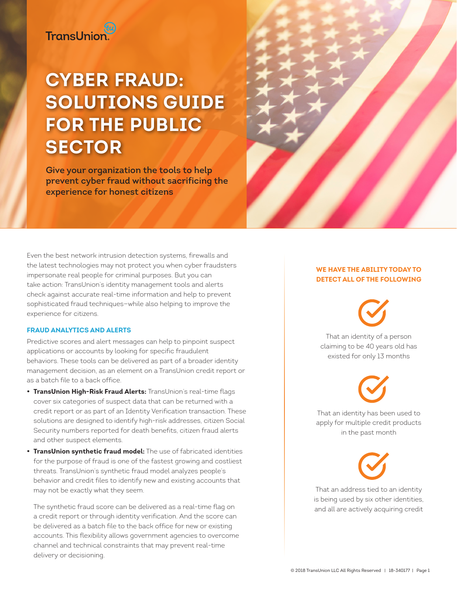# at<br>TransUnion

# **CYBER FRAUD: SOLUTIONS GUIDE FOR THE PUBLIC SECTOR**

**Give your organization the tools to help prevent cyber fraud without sacrificing the experience for honest citizens**

Even the best network intrusion detection systems, firewalls and the latest technologies may not protect you when cyber fraudsters impersonate real people for criminal purposes. But you can take action: TransUnion's identity management tools and alerts check against accurate real-time information and help to prevent sophisticated fraud techniques—while also helping to improve the experience for citizens.

## **Fraud analytics and alerts**

Predictive scores and alert messages can help to pinpoint suspect applications or accounts by looking for specific fraudulent behaviors. These tools can be delivered as part of a broader identity management decision, as an element on a TransUnion credit report or as a batch file to a back office.

- **• TransUnion High-Risk Fraud Alerts:** TransUnion's real-time flags cover six categories of suspect data that can be returned with a credit report or as part of an Identity Verification transaction. These solutions are designed to identify high-risk addresses, citizen Social Security numbers reported for death benefits, citizen fraud alerts and other suspect elements.
- **• TransUnion synthetic fraud model:** The use of fabricated identities for the purpose of fraud is one of the fastest growing and costliest threats. TransUnion's synthetic fraud model analyzes people's behavior and credit files to identify new and existing accounts that may not be exactly what they seem.

The synthetic fraud score can be delivered as a real-time flag on a credit report or through identity verification. And the score can be delivered as a batch file to the back office for new or existing accounts. This flexibility allows government agencies to overcome channel and technical constraints that may prevent real-time delivery or decisioning.

# **We have the ability today to detect all of the following**

That an identity of a person claiming to be 40 years old has existed for only 13 months

That an identity has been used to

apply for multiple credit products in the past month

That an address tied to an identity is being used by six other identities, and all are actively acquiring credit